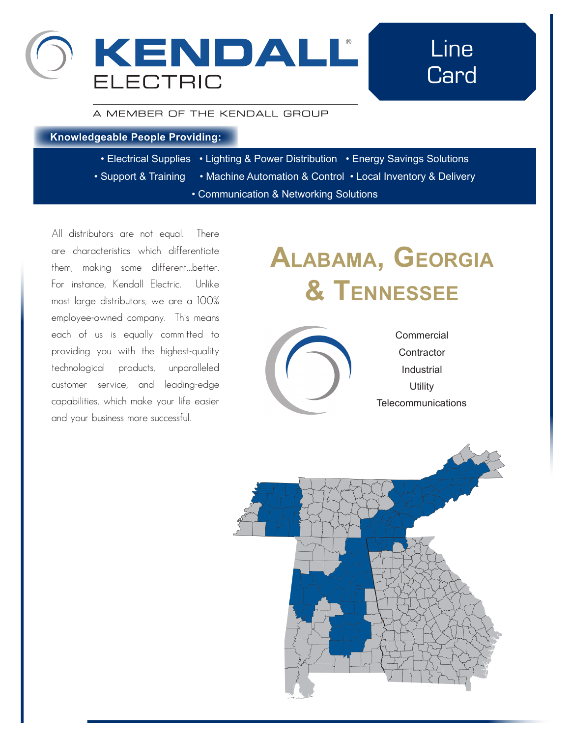

## Line **Card**

#### A MEMBER OF THE KENDALL GROUP

#### **Knowledgeable People Providing:**

- Electrical Supplies Lighting & Power Distribution Energy Savings Solutions
- Support & Training Machine Automation & Control Local Inventory & Delivery
	- Communication & Networking Solutions

All distributors are not equal. There are characteristics which differentiate them, making some different...better. For instance, Kendall Electric. Unlike most large distributors, we are a 100% employee-owned company. This means each of us is equally committed to providing you with the highest-quality technological products, unparalleled customer service, and leading-edge capabilities, which make your life easier and your business more successful.

# **Alabama, Georgia & Tennessee**



**Commercial Telecommunications Contractor** Industrial **Utility** 

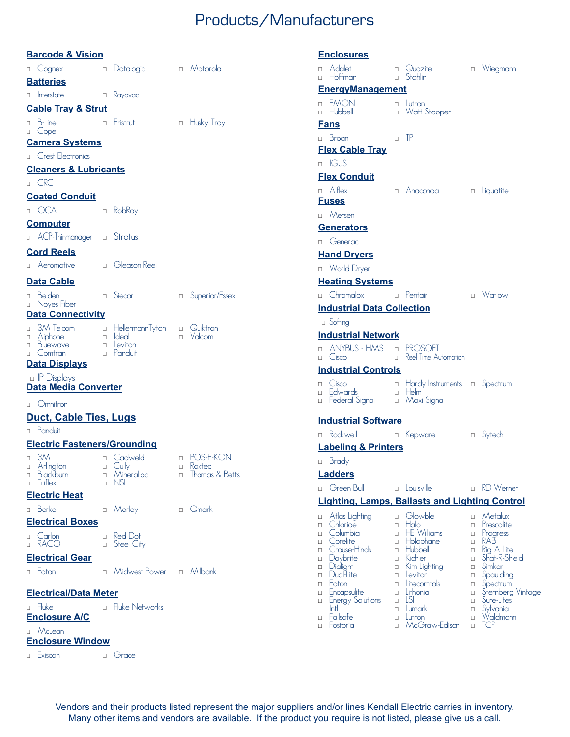### Products/Manufacturers

|                            | <b>Barcode &amp; Vision</b>                               |                  |                                                                                    |                              |
|----------------------------|-----------------------------------------------------------|------------------|------------------------------------------------------------------------------------|------------------------------|
|                            | □ Cognex                                                  |                  | □ Datalogic                                                                        | n Motorola                   |
|                            | <b>Batteries</b>                                          |                  |                                                                                    |                              |
|                            | $\Box$ Interstate                                         | $\Box$           | Kayovac                                                                            |                              |
|                            | <b>Cable Tray &amp; Strut</b>                             |                  |                                                                                    |                              |
|                            | n B-Line<br><b>Service Control</b><br>$\Box$ Cope         |                  | Eristrut                                                                           | □ Husky Tray                 |
|                            | <b>Camera Systems</b>                                     |                  |                                                                                    |                              |
|                            | <b>D</b> Crest Electronics                                |                  |                                                                                    |                              |
|                            | <b>Cleaners &amp; Lubricants</b>                          |                  |                                                                                    |                              |
|                            | n CRC                                                     |                  |                                                                                    |                              |
|                            | <b>Coated Conduit</b>                                     |                  |                                                                                    |                              |
|                            | <sup>D</sup> OCAL                                         | $\Box$           | RobRoy                                                                             |                              |
|                            | <b>Computer</b>                                           |                  |                                                                                    |                              |
|                            | a ACP-Thinmanager a Stratus                               |                  |                                                                                    |                              |
|                            | <b>Cord Reels</b>                                         |                  |                                                                                    |                              |
|                            | □ Aeromotive                                              |                  | n Gleason Reel                                                                     |                              |
|                            | <b>Data Cable</b>                                         |                  |                                                                                    |                              |
| $\Box$                     | Belden<br><sup>1</sup> Noyes Fiber                        | $\Box$           | Siecor                                                                             | □ Superior/Essex             |
|                            | <b>Data Connectivity</b>                                  |                  |                                                                                    |                              |
| $\Box$<br>$\Box$<br>$\Box$ | □ Aiphone<br>Bluewave<br>Comtran                          |                  | 3M Telcom a HellermannTyton a Quiktron<br><b>n</b> Ideal<br>□ Leviton<br>□ Panduit | D Valcom                     |
|                            | <b>Data Displays</b>                                      |                  |                                                                                    |                              |
|                            | n IP Displays<br><b>Data Media Converter</b>              |                  |                                                                                    |                              |
|                            | □ Omnitron                                                |                  |                                                                                    |                              |
|                            | <b>Duct, Cable Ties, Lugs</b>                             |                  |                                                                                    |                              |
|                            | n Panduit                                                 |                  |                                                                                    |                              |
|                            | <b>Electric Fasteners/Grounding</b>                       |                  |                                                                                    |                              |
| $\Box$                     | 3M<br>a Arlington<br><b>Blackburn</b><br><b>D</b> Eriflex | $\Box$<br>$\Box$ | Cadweld<br>a Cully<br>□ Minerallac □ Thomas & Betts<br>NSI.                        | □ POS-E-KON<br>$\Box$ Koxtec |
|                            | <b>Electric Heat</b>                                      |                  |                                                                                    |                              |
|                            | <sup>D</sup> Berko                                        |                  | □ Marley                                                                           | n Qmark                      |
|                            | <b>Electrical Boxes</b>                                   |                  |                                                                                    |                              |
|                            | □ Carlon<br>n RACO                                        | П.               | Red Dot<br>□ Steel City                                                            |                              |
|                            | <b>Electrical Gear</b>                                    |                  |                                                                                    |                              |
|                            | <b>D</b> Eaton                                            |                  | n Midwest Power n Milbank                                                          |                              |
|                            | <b>Electrical/Data Meter</b>                              |                  |                                                                                    |                              |
|                            | n Fluke                                                   |                  | <b>D</b> Fluke Networks                                                            |                              |
|                            | <b>Enclosure A/C</b>                                      |                  |                                                                                    |                              |
|                            | □ McLean<br><b>Enclosure Window</b>                       |                  |                                                                                    |                              |
|                            | <b>D</b> Exiscan                                          |                  | □ Grace                                                                            |                              |

| <b>Enclosures</b>                                             |                                                                                                         |                                                                         |                                                                                          |                                                          |                                                                                     |  |  |
|---------------------------------------------------------------|---------------------------------------------------------------------------------------------------------|-------------------------------------------------------------------------|------------------------------------------------------------------------------------------|----------------------------------------------------------|-------------------------------------------------------------------------------------|--|--|
| П.                                                            | n Adalet<br>Hoffman                                                                                     | П.                                                                      | □ Quazite<br>Stahlin                                                                     | $\Box$                                                   | Wiegmann                                                                            |  |  |
|                                                               | <b>EnergyManagement</b>                                                                                 |                                                                         |                                                                                          |                                                          |                                                                                     |  |  |
| $\Box$<br>$\Box$                                              | <b>EMON</b><br>Hubbell                                                                                  | П.<br>П                                                                 | Lutron<br>Watt Stopper                                                                   |                                                          |                                                                                     |  |  |
|                                                               | <u>Fans</u>                                                                                             |                                                                         |                                                                                          |                                                          |                                                                                     |  |  |
|                                                               | n Broan                                                                                                 | П                                                                       | <b>TPI</b>                                                                               |                                                          |                                                                                     |  |  |
|                                                               | <b>Flex Cable Tray</b>                                                                                  |                                                                         |                                                                                          |                                                          |                                                                                     |  |  |
|                                                               | <b>D</b> IGUS                                                                                           |                                                                         |                                                                                          |                                                          |                                                                                     |  |  |
|                                                               | <b>Flex Conduit</b>                                                                                     |                                                                         |                                                                                          |                                                          |                                                                                     |  |  |
|                                                               | $\Box$ Alflex<br><b>Fuses</b>                                                                           |                                                                         | $\Box$ Anaconda                                                                          | $\Box$                                                   | Liquatite                                                                           |  |  |
|                                                               | n Mersen                                                                                                |                                                                         |                                                                                          |                                                          |                                                                                     |  |  |
|                                                               | Generators                                                                                              |                                                                         |                                                                                          |                                                          |                                                                                     |  |  |
|                                                               | □ Generac                                                                                               |                                                                         |                                                                                          |                                                          |                                                                                     |  |  |
|                                                               | <b>Hand Dryers</b>                                                                                      |                                                                         |                                                                                          |                                                          |                                                                                     |  |  |
|                                                               | D World Dryer                                                                                           |                                                                         |                                                                                          |                                                          |                                                                                     |  |  |
|                                                               | <b>Heating Systems</b>                                                                                  |                                                                         |                                                                                          |                                                          |                                                                                     |  |  |
|                                                               | □ Chromalox                                                                                             | $\Box$                                                                  | Pentair                                                                                  |                                                          | <b>D</b> Watlow                                                                     |  |  |
|                                                               | <b>Industrial Data Collection</b>                                                                       |                                                                         |                                                                                          |                                                          |                                                                                     |  |  |
|                                                               | □ Softing                                                                                               |                                                                         |                                                                                          |                                                          |                                                                                     |  |  |
|                                                               | <b>Industrial Network</b>                                                                               |                                                                         |                                                                                          |                                                          |                                                                                     |  |  |
| $\Box$<br>$\Box$                                              | ANYBUS - HMS<br>Cisco                                                                                   | $\Box$<br>Π.                                                            | <b>PROSOFT</b><br>Reel Time Automation                                                   |                                                          |                                                                                     |  |  |
|                                                               | <u><b>Industrial Controls</b></u>                                                                       |                                                                         |                                                                                          |                                                          |                                                                                     |  |  |
| П.<br>П.<br>$\Box$                                            | Cisco<br>Edwards<br>Federal Signal                                                                      | $\Box$<br>$\Box$<br>$\Box$                                              | Hardy Instruments a Spectrum<br>Helm<br>Maxi Signal                                      |                                                          |                                                                                     |  |  |
|                                                               | <b>Industrial Software</b>                                                                              |                                                                         |                                                                                          |                                                          |                                                                                     |  |  |
| $\Box$                                                        | Rockwell                                                                                                | $\Box$                                                                  | Kepware                                                                                  |                                                          | □ Sytech                                                                            |  |  |
|                                                               | <b>Labeling &amp; Printers</b>                                                                          |                                                                         |                                                                                          |                                                          |                                                                                     |  |  |
|                                                               | □ Brady                                                                                                 |                                                                         |                                                                                          |                                                          |                                                                                     |  |  |
|                                                               | <b>Ladders</b>                                                                                          |                                                                         |                                                                                          |                                                          |                                                                                     |  |  |
| П                                                             | Green Bull                                                                                              |                                                                         | $\Box$ Louisville                                                                        | $\Box$                                                   | <b>RD</b> Werner                                                                    |  |  |
|                                                               | <b>Lighting, Lamps, Ballasts and Lighting Control</b>                                                   |                                                                         |                                                                                          |                                                          |                                                                                     |  |  |
|                                                               |                                                                                                         |                                                                         | Glowble                                                                                  | $\Box$                                                   | Metalux                                                                             |  |  |
| □<br>□<br>$\Box$<br>$\Box$<br>$\Box$<br>□<br>$\Box$<br>$\Box$ | Atlas Lighting<br>Chloride<br>Columbia<br>Corelite<br>Crouse-Hinds<br>Daybrite<br>Dialight<br>Dual-Lite | $\Box$<br>П<br>$\Box$<br>$\Box$<br>$\Box$<br>$\Box$<br>$\Box$<br>$\Box$ | Halo<br><b>HE</b> Williams<br>Holophane<br>Hubbell<br>Kichler<br>Kim Lighting<br>Leviton | $\Box$<br>$\Box$<br>$\Box$<br>$\Box$<br>□<br>$\Box$<br>□ | Prescolite<br>Progress<br>RAB<br>Rig A Lite<br>Shat-R-Shield<br>Simkar<br>Spaulding |  |  |
| $\Box$<br>$\Box$                                              | Eaton<br>Encapsulite                                                                                    | $\Box$<br>П                                                             | Litecontrols<br>Lithonia                                                                 | $\Box$<br>$\Box$                                         | Spectrum<br>Sternberg Vintage                                                       |  |  |

Vendors and their products listed represent the major suppliers and/or lines Kendall Electric carries in inventory. Many other items and vendors are available. If the product you require is not listed, please give us a call.

**Energy Solutions** Intl. • Failsafe • Fostoria

• LSI • Lumark • Lutron

• McGraw-Edison • TCP

• Sure-Lites • Sylvania • Waldmann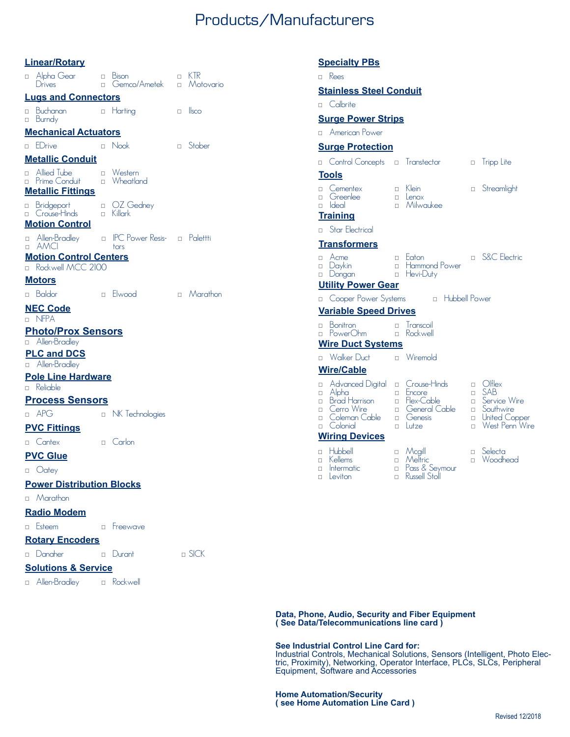### Products/Manufacturers

• Rees

**Specialty PBs**

**Stainless Steel Conduit**

#### **Linear/Rotary**

| $\Box$                                  | <u></u><br>Alpha Gear<br>Drives                    | $\Box$<br>$\Box$ | <b>Bison</b><br>Gemco/Ametek       | $\Box$<br>$\Box$ | KIR<br>Motovario |  |  |  |  |
|-----------------------------------------|----------------------------------------------------|------------------|------------------------------------|------------------|------------------|--|--|--|--|
|                                         | <b>Lugs and Connectors</b>                         |                  |                                    |                  |                  |  |  |  |  |
| $\Box$                                  | Buchanan<br>□ Burndy                               |                  | n Harting                          | П.               | <b>I</b> sco     |  |  |  |  |
| <b>Mechanical Actuators</b>             |                                                    |                  |                                    |                  |                  |  |  |  |  |
|                                         | □ EDrive                                           | $\Box$           | Nook                               | $\Box$           | Stober           |  |  |  |  |
|                                         | <b>Metallic Conduit</b>                            |                  |                                    |                  |                  |  |  |  |  |
| П.                                      | Allied Tube<br>□ Prime Conduit                     | П.               | □ Western<br>Wheatland             |                  |                  |  |  |  |  |
|                                         | <b>Metallic Fittings</b>                           |                  |                                    |                  |                  |  |  |  |  |
|                                         | <b>D</b> Bridgeport<br>□ Crouse-Hinds              | $\Box$           | <sub>[D</sub> OZ Gedney<br>Killark |                  |                  |  |  |  |  |
|                                         | <b>Motion Control</b><br>a Allen-Bradley           |                  | □ IPC Power Resis- □ Palettti      |                  |                  |  |  |  |  |
| П.                                      | AMCI                                               |                  | tors                               |                  |                  |  |  |  |  |
| $\Box$                                  | <b>Motion Control Centers</b><br>Rockwell MCC 2100 |                  |                                    |                  |                  |  |  |  |  |
|                                         | <b>Motors</b>                                      |                  |                                    |                  |                  |  |  |  |  |
|                                         | □ Baldor                                           | П.               | Elwood                             |                  | $\Box$ Marathon  |  |  |  |  |
|                                         | <b>NEC Code</b><br>n NFPA                          |                  |                                    |                  |                  |  |  |  |  |
| <b>Photo/Prox Sensors</b>               |                                                    |                  |                                    |                  |                  |  |  |  |  |
|                                         | a Allen-Bradley<br><b>PLC and DCS</b>              |                  |                                    |                  |                  |  |  |  |  |
|                                         | a Allen-Bradley                                    |                  |                                    |                  |                  |  |  |  |  |
| <b>Pole Line Hardware</b><br>□ Reliable |                                                    |                  |                                    |                  |                  |  |  |  |  |
|                                         | <u>Process Sensors</u>                             |                  |                                    |                  |                  |  |  |  |  |
|                                         | $n$ APG                                            | $\Box$           | NK Technologies                    |                  |                  |  |  |  |  |
|                                         | <b>PVC Fittings</b>                                |                  |                                    |                  |                  |  |  |  |  |
|                                         | □ Cantex                                           |                  | □ Carlon                           |                  |                  |  |  |  |  |
|                                         | <b>PVC Glue</b>                                    |                  |                                    |                  |                  |  |  |  |  |
|                                         | <sub>[1</sub> Oatey                                |                  |                                    |                  |                  |  |  |  |  |
|                                         | <b>Power Distribution Blocks</b>                   |                  |                                    |                  |                  |  |  |  |  |
|                                         | □ Marathon                                         |                  |                                    |                  |                  |  |  |  |  |
|                                         | <b>Radio Modem</b>                                 |                  |                                    |                  |                  |  |  |  |  |
|                                         | <b>D</b> Esteem                                    |                  | n Freewave                         |                  |                  |  |  |  |  |
|                                         | <b>Rotary Encoders</b>                             |                  |                                    |                  |                  |  |  |  |  |
|                                         | □ Danaher                                          |                  | □ Durant                           |                  | $\Box$ SICK      |  |  |  |  |
| <b>Solutions &amp; Service</b>          |                                                    |                  |                                    |                  |                  |  |  |  |  |
|                                         | a Allen-Bradley a Rockwell                         |                  |                                    |                  |                  |  |  |  |  |

#### • Cementex • Greenlee • Ideal • Klein • Lenox • Milwaukee **D** Streamlight **Tools** • Hubbell • Kellems  $\Box$  Intermatic  $\Box$  Leviton • Mcgill • Meltric • Pass & Seymour • Russell Stoll • Selecta • Woodhead **Wiring Devices** • Advanced Digital • Crouse-Hinds • Alpha • Brad Harrison • Cerro Wire • Coleman Cable • Colonial • Encore **Ex-Cable** • General Cable • Genesis • Lutze • Olflex • SAB • Service Wire • Southwire  $\Box$  United Copper **Example 3** West Penn Wire **Wire/Cable** • Calbrite • American Power **Surge Power Strips Surge Protection a** Control Concepts **a** Transtector **b** Tripp Lite • Star Electrical **Training** • Acme • Daykin • Dongan • Eaton • Hammond Power • Hevi-Duty • S&C Electric **Transformers Exercise For Systems Exercise Exercise Power Utility Power Gear** • Bonitron • PowerOhm • Transcoil • Rockwell **Variable Speed Drives** • Walker Duct • Wiremold **Wire Duct Systems**

**Data, Phone, Audio, Security and Fiber Equipment ( See Data/Telecommunications line card )**

#### **See Industrial Control Line Card for:**

Industrial Controls, Mechanical Solutions, Sensors (Intelligent, Photo Electric, Proximity), Networking, Operator Interface, PLCs, SLCs, Peripheral Equipment, Software and Accessories

#### **Home Automation/Security ( see Home Automation Line Card )**